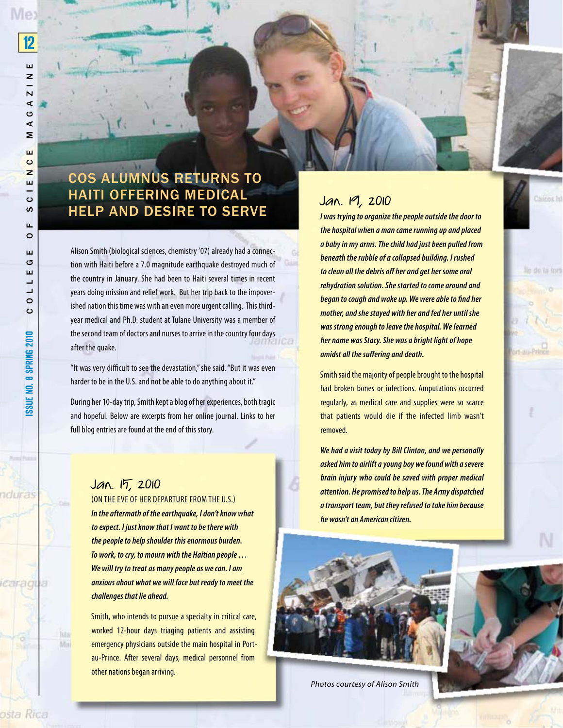# COS Alumnus Returns to Haiti Offering Medical Help and Desire to Serve

Alison Smith (biological sciences, chemistry '07) already had a connection with Haiti before a 7.0 magnitude earthquake destroyed much of the country in January. She had been to Haiti several times in recent years doing mission and relief work. But her trip back to the impoverished nation this time was with an even more urgent calling. This thirdyear medical and Ph.D. student at Tulane University was a member of the second team of doctors and nurses to arrive in the country four days after the quake.

"It was very difficult to see the devastation," she said. "But it was even harder to be in the U.S. and not be able to do anything about it."

During her 10-day trip, Smith kept a blog of her experiences, both tragic and hopeful. Below are excerpts from her online journal. Links to her full blog entries are found at the end of this story.

### Jan. 15, 2010

(on the eve of her departure from the U.S.) *In the aftermath of the earthquake, I don't know what to expect. I just know that I want to be there with the people to help shoulder this enormous burden. To work, to cry, to mourn with the Haitian people … We will try to treat as many people as we can. I am anxious about what we will face but ready to meet the challenges that lie ahead.*

Smith, who intends to pursue a specialty in critical care, worked 12-hour days triaging patients and assisting emergency physicians outside the main hospital in Portau-Prince. After several days, medical personnel from other nations began arriving.

## Jan. 19, 2010

*I was trying to organize the people outside the door to the hospital when a man came running up and placed a baby in my arms. The child had just been pulled from beneath the rubble of a collapsed building. I rushed to clean all the debris off her and get her some oral rehydration solution. She started to come around and began to cough and wake up. We were able to find her mother, and she stayed with her and fed her until she was strong enough to leave the hospital. We learned her name was Stacy. She was a bright light of hope amidst all the suffering and death.*

Smith said the majority of people brought to the hospital had broken bones or infections. Amputations occurred regularly, as medical care and supplies were so scarce that patients would die if the infected limb wasn't removed.

*We had a visit today by Bill Clinton, and we personally asked him to airlift a young boy we found with a severe brain injury who could be saved with proper medical attention. He promised to help us. The Army dispatched a transport team, but they refused to take him because he wasn't an American citizen.*



*Photos courtesy of Alison Smith*



le de la tor

rt-au-Princi

lita Min

caragu